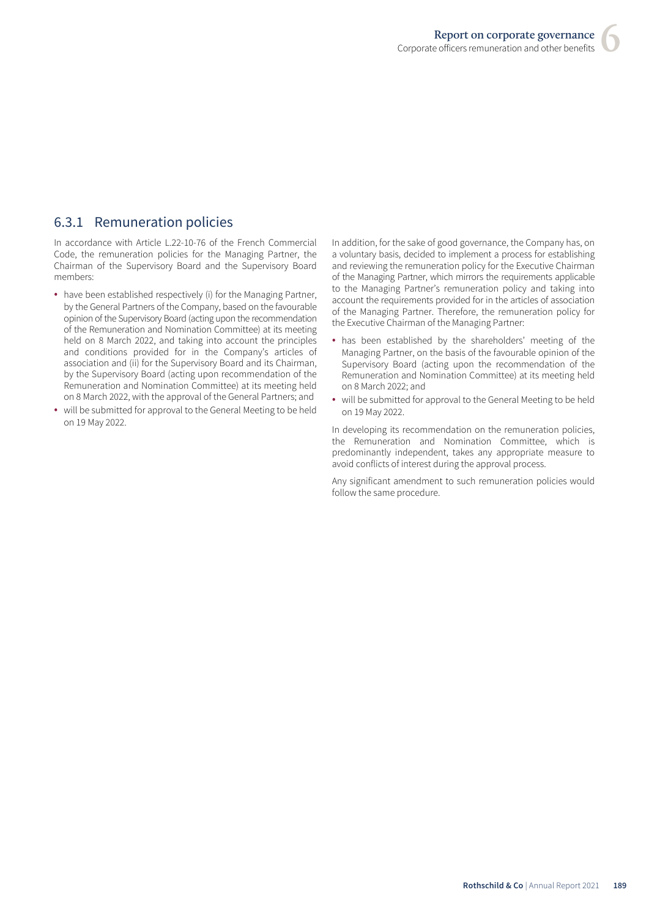# 6.3.1 Remuneration policies

In accordance with Article L.22-10-76 of the French Commercial Code, the remuneration policies for the Managing Partner, the Chairman of the Supervisory Board and the Supervisory Board members:

- have been established respectively (i) for the Managing Partner, by the General Partners of the Company, based on the favourable opinion of the Supervisory Board (acting upon the recommendation of the Remuneration and Nomination Committee) at its meeting held on 8 March 2022, and taking into account the principles and conditions provided for in the Company's articles of association and (ii) for the Supervisory Board and its Chairman, by the Supervisory Board (acting upon recommendation of the Remuneration and Nomination Committee) at its meeting held on 8 March 2022, with the approval of the General Partners; and
- will be submitted for approval to the General Meeting to be held on 19 May 2022.

In addition, for the sake of good governance, the Company has, on a voluntary basis, decided to implement a process for establishing and reviewing the remuneration policy for the Executive Chairman of the Managing Partner, which mirrors the requirements applicable to the Managing Partner's remuneration policy and taking into account the requirements provided for in the articles of association of the Managing Partner. Therefore, the remuneration policy for the Executive Chairman of the Managing Partner:

- has been established by the shareholders' meeting of the Managing Partner, on the basis of the favourable opinion of the Supervisory Board (acting upon the recommendation of the Remuneration and Nomination Committee) at its meeting held on 8 March 2022; and
- will be submitted for approval to the General Meeting to be held on 19 May 2022.

In developing its recommendation on the remuneration policies, the Remuneration and Nomination Committee, which is predominantly independent, takes any appropriate measure to avoid conflicts of interest during the approval process.

Any significant amendment to such remuneration policies would follow the same procedure.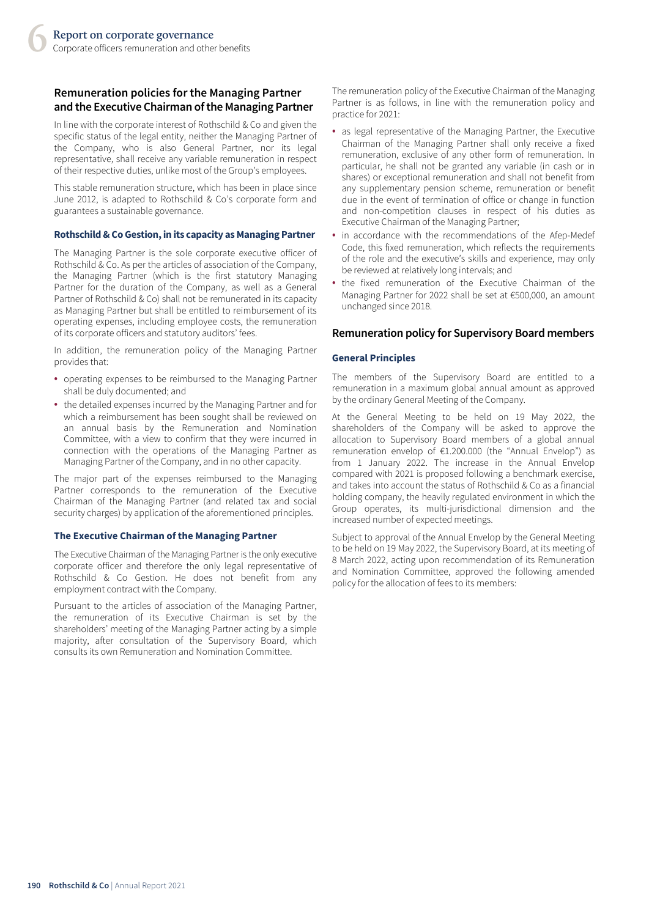# **Remuneration policies for the Managing Partner and the Executive Chairman ofthe Managing Partner**

In line with the corporate interest of Rothschild & Co and given the specific status of the legal entity, neither the Managing Partner of the Company, who is also General Partner, nor its legal representative, shall receive any variable remuneration in respect of their respective duties, unlike most of the Group's employees.

This stable remuneration structure, which has been in place since June 2012, is adapted to Rothschild & Co's corporate form and guarantees a sustainable governance.

### **Rothschild & Co Gestion, in its capacity as Managing Partner**

The Managing Partner is the sole corporate executive officer of Rothschild & Co. As per the articles of association of the Company, the Managing Partner (which is the first statutory Managing Partner for the duration of the Company, as well as a General Partner of Rothschild & Co) shall not be remunerated in its capacity as Managing Partner but shall be entitled to reimbursement of its operating expenses, including employee costs, the remuneration of its corporate officers and statutory auditors' fees.

In addition, the remuneration policy of the Managing Partner provides that:

- operating expenses to be reimbursed to the Managing Partner shall be duly documented; and
- the detailed expenses incurred by the Managing Partner and for which a reimbursement has been sought shall be reviewed on an annual basis by the Remuneration and Nomination Committee, with a view to confirm that they were incurred in connection with the operations of the Managing Partner as Managing Partner of the Company, and in no other capacity.

The major part of the expenses reimbursed to the Managing Partner corresponds to the remuneration of the Executive Chairman of the Managing Partner (and related tax and social security charges) by application of the aforementioned principles.

### **The Executive Chairman of the Managing Partner**

The Executive Chairman of the Managing Partner is the only executive corporate officer and therefore the only legal representative of Rothschild & Co Gestion. He does not benefit from any employment contract with the Company.

Pursuant to the articles of association of the Managing Partner, the remuneration of its Executive Chairman is set by the shareholders' meeting of the Managing Partner acting by a simple majority, after consultation of the Supervisory Board, which consults its own Remuneration and Nomination Committee.

The remuneration policy of the Executive Chairman of the Managing Partner is as follows, in line with the remuneration policy and practice for 2021:

- as legal representative of the Managing Partner, the Executive Chairman of the Managing Partner shall only receive a fixed remuneration, exclusive of any other form of remuneration. In particular, he shall not be granted any variable (in cash or in shares) or exceptional remuneration and shall not benefit from any supplementary pension scheme, remuneration or benefit due in the event of termination of office or change in function and non-competition clauses in respect of his duties as Executive Chairman of the Managing Partner;
- in accordance with the recommendations of the Afep-Medef Code, this fixed remuneration, which reflects the requirements of the role and the executive's skills and experience, may only be reviewed at relatively long intervals; and
- the fixed remuneration of the Executive Chairman of the Managing Partner for 2022 shall be set at €500,000, an amount unchanged since 2018.

## **Remuneration policy for Supervisory Board members**

## **General Principles**

The members of the Supervisory Board are entitled to a remuneration in a maximum global annual amount as approved by the ordinary General Meeting of the Company.

At the General Meeting to be held on 19 May 2022, the shareholders of the Company will be asked to approve the allocation to Supervisory Board members of a global annual remuneration envelop of €1.200.000 (the "Annual Envelop") as from 1 January 2022. The increase in the Annual Envelop compared with 2021 is proposed following a benchmark exercise, and takes into account the status of Rothschild & Co as a financial holding company, the heavily regulated environment in which the Group operates, its multi-jurisdictional dimension and the increased number of expected meetings.

Subject to approval of the Annual Envelop by the General Meeting to be held on 19 May 2022, the Supervisory Board, at its meeting of 8 March 2022, acting upon recommendation of its Remuneration and Nomination Committee, approved the following amended policy for the allocation of fees to its members: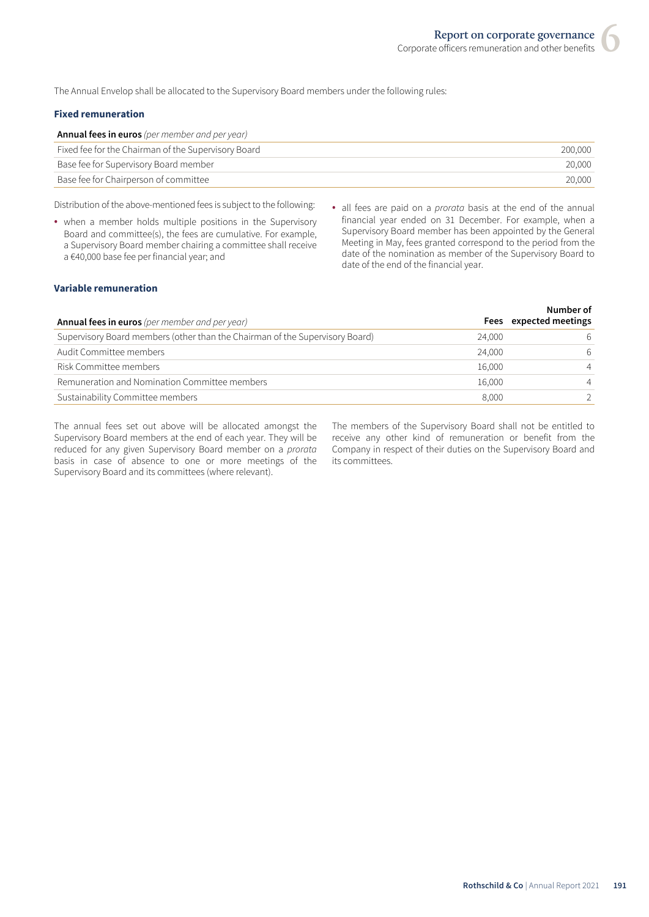The Annual Envelop shall be allocated to the Supervisory Board members under the following rules:

## **Fixed remuneration**

| <b>Annual fees in euros</b> (per member and per year) |         |
|-------------------------------------------------------|---------|
| Fixed fee for the Chairman of the Supervisory Board   | 200.000 |
| Base fee for Supervisory Board member                 | 20.000  |
| Base fee for Chairperson of committee                 | 20.000  |
|                                                       |         |

Distribution of the above-mentioned fees is subject to the following:

- when a member holds multiple positions in the Supervisory Board and committee(s), the fees are cumulative. For example, a Supervisory Board member chairing a committee shall receive a €40,000 base fee per financial year; and
- all fees are paid on a *prorata* basis at the end of the annual financial year ended on 31 December. For example, when a Supervisory Board member has been appointed by the General Meeting in May, fees granted correspond to the period from the date of the nomination as member of the Supervisory Board to date of the end of the financial year.

## **Variable remuneration**

| <b>Annual fees in euros</b> (per member and per year)                        |        | Number of<br>Fees expected meetings |
|------------------------------------------------------------------------------|--------|-------------------------------------|
| Supervisory Board members (other than the Chairman of the Supervisory Board) | 24,000 | 6                                   |
| Audit Committee members                                                      | 24,000 | 6                                   |
| Risk Committee members                                                       | 16,000 | $\overline{4}$                      |
| Remuneration and Nomination Committee members                                | 16,000 | $\overline{4}$                      |
| Sustainability Committee members                                             | 8.000  |                                     |

The annual fees set out above will be allocated amongst the Supervisory Board members at the end of each year. They will be reduced for any given Supervisory Board member on a *prorata* basis in case of absence to one or more meetings of the Supervisory Board and its committees (where relevant).

The members of the Supervisory Board shall not be entitled to receive any other kind of remuneration or benefit from the Company in respect of their duties on the Supervisory Board and its committees.